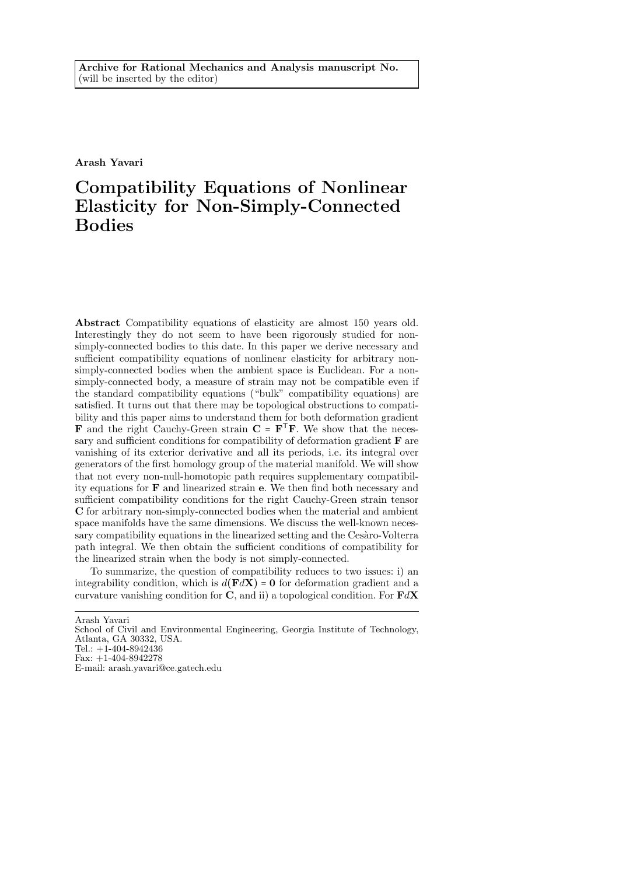Arash Yavari

# Compatibility Equations of Nonlinear Elasticity for Non-Simply-Connected Bodies

Abstract Compatibility equations of elasticity are almost 150 years old. Interestingly they do not seem to have been rigorously studied for nonsimply-connected bodies to this date. In this paper we derive necessary and sufficient compatibility equations of nonlinear elasticity for arbitrary nonsimply-connected bodies when the ambient space is Euclidean. For a nonsimply-connected body, a measure of strain may not be compatible even if the standard compatibility equations ("bulk" compatibility equations) are satisfied. It turns out that there may be topological obstructions to compatibility and this paper aims to understand them for both deformation gradient **F** and the right Cauchy-Green strain  $C = F^{T}F$ . We show that the necessary and sufficient conditions for compatibility of deformation gradient F are vanishing of its exterior derivative and all its periods, i.e. its integral over generators of the first homology group of the material manifold. We will show that not every non-null-homotopic path requires supplementary compatibility equations for F and linearized strain e. We then find both necessary and sufficient compatibility conditions for the right Cauchy-Green strain tensor C for arbitrary non-simply-connected bodies when the material and ambient space manifolds have the same dimensions. We discuss the well-known necessary compatibility equations in the linearized setting and the Cesaro-Volterra path integral. We then obtain the sufficient conditions of compatibility for the linearized strain when the body is not simply-connected.

To summarize, the question of compatibility reduces to two issues: i) an integrability condition, which is  $d(\mathbf{F}d\mathbf{X}) = \mathbf{0}$  for deformation gradient and a curvature vanishing condition for  $C$ , and ii) a topological condition. For  $FdX$ 

Arash Yavari

School of Civil and Environmental Engineering, Georgia Institute of Technology, Atlanta, GA 30332, USA.

Tel.: +1-404-8942436 Fax: +1-404-8942278

E-mail: arash.yavari@ce.gatech.edu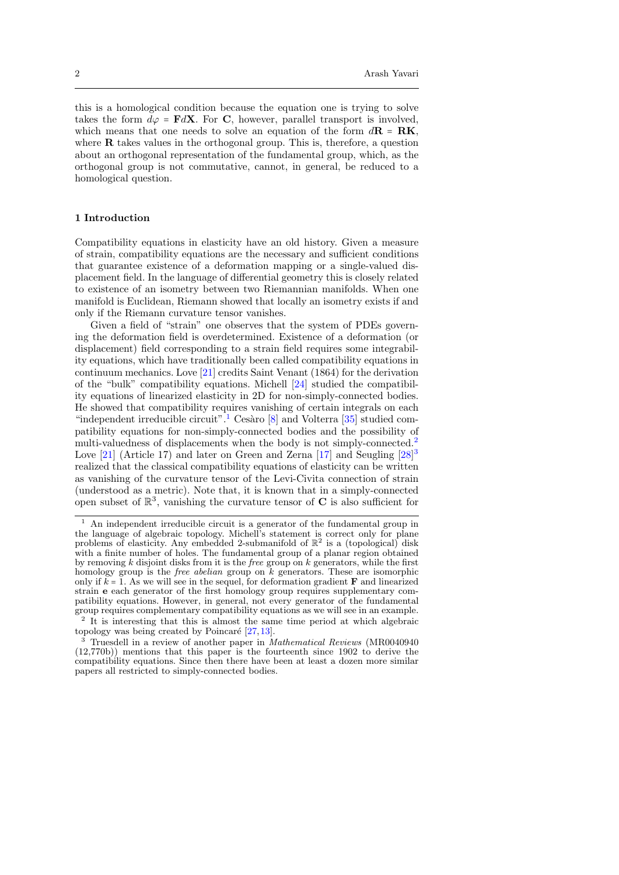this is a homological condition because the equation one is trying to solve takes the form  $d\varphi = \mathbf{F}d\mathbf{X}$ . For C, however, parallel transport is involved, which means that one needs to solve an equation of the form  $d\mathbf{R} = \mathbf{R}\mathbf{K}$ , where **R** takes values in the orthogonal group. This is, therefore, a question about an orthogonal representation of the fundamental group, which, as the orthogonal group is not commutative, cannot, in general, be reduced to a homological question.

## 1 Introduction

Compatibility equations in elasticity have an old history. Given a measure of strain, compatibility equations are the necessary and sufficient conditions that guarantee existence of a deformation mapping or a single-valued displacement field. In the language of differential geometry this is closely related to existence of an isometry between two Riemannian manifolds. When one manifold is Euclidean, Riemann showed that locally an isometry exists if and only if the Riemann curvature tensor vanishes.

Given a field of "strain" one observes that the system of PDEs governing the deformation field is overdetermined. Existence of a deformation (or displacement) field corresponding to a strain field requires some integrability equations, which have traditionally been called compatibility equations in continuum mechanics. Love [\[21\]](#page-16-0) credits Saint Venant (1864) for the derivation of the "bulk" compatibility equations. Michell [\[24\]](#page-16-1) studied the compatibility equations of linearized elasticity in 2D for non-simply-connected bodies. He showed that compatibility requires vanishing of certain integrals on each "independent irreducible circuit".<sup>[1](#page-1-0)</sup> Cesàro  $[8]$  and Volterra  $[35]$  studied compatibility equations for non-simply-connected bodies and the possibility of multi-valuedness of displacements when the body is not simply-connected.<sup>[2](#page-1-1)</sup> Love [\[21\]](#page-16-0) (Article 17) and later on Green and Zerna [\[17\]](#page-15-1) and Seugling [\[28\]](#page-16-3)<sup>[3](#page-1-2)</sup> realized that the classical compatibility equations of elasticity can be written as vanishing of the curvature tensor of the Levi-Civita connection of strain (understood as a metric). Note that, it is known that in a simply-connected open subset of  $\mathbb{R}^3$ , vanishing the curvature tensor of **C** is also sufficient for

<span id="page-1-0"></span><sup>1</sup> An independent irreducible circuit is a generator of the fundamental group in the language of algebraic topology. Michell's statement is correct only for plane problems of elasticity. Any embedded 2-submanifold of  $\mathbb{R}^2$  is a (topological) disk with a finite number of holes. The fundamental group of a planar region obtained by removing k disjoint disks from it is the free group on  $k$  generators, while the first homology group is the *free abelian* group on  $k$  generators. These are isomorphic only if  $k = 1$ . As we will see in the sequel, for deformation gradient  $\bf{F}$  and linearized strain e each generator of the first homology group requires supplementary compatibility equations. However, in general, not every generator of the fundamental group requires complementary compatibility equations as we will see in an example. <sup>2</sup> It is interesting that this is almost the same time period at which algebraic

<span id="page-1-1"></span>topology was being created by Poincaré  $[27,13]$  $[27,13]$ .

<span id="page-1-2"></span><sup>3</sup> Truesdell in a review of another paper in Mathematical Reviews (MR0040940 (12,770b)) mentions that this paper is the fourteenth since 1902 to derive the compatibility equations. Since then there have been at least a dozen more similar papers all restricted to simply-connected bodies.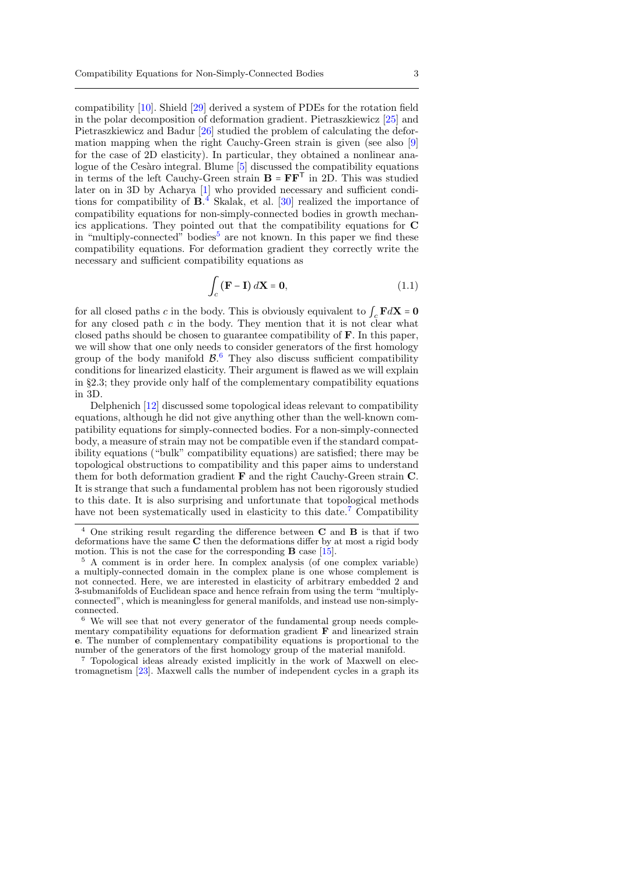compatibility [\[10\]](#page-15-3). Shield [\[29\]](#page-16-5) derived a system of PDEs for the rotation field in the polar decomposition of deformation gradient. Pietraszkiewicz [\[25\]](#page-16-6) and Pietraszkiewicz and Badur [\[26\]](#page-16-7) studied the problem of calculating the deformation mapping when the right Cauchy-Green strain is given (see also [\[9\]](#page-15-4) for the case of 2D elasticity). In particular, they obtained a nonlinear ana-logue of the Cesàro integral. Blume [\[5\]](#page-15-5) discussed the compatibility equations in terms of the left Cauchy-Green strain  $B = FF<sup>T</sup>$  in 2D. This was studied later on in 3D by Acharya [\[1\]](#page-15-6) who provided necessary and sufficient conditions for compatibility of  $\mathbf{B}^4$  $\mathbf{B}^4$ . Skalak, et al. [\[30\]](#page-16-8) realized the importance of compatibility equations for non-simply-connected bodies in growth mechanics applications. They pointed out that the compatibility equations for C in "multiply-connected" bodies<sup>[5](#page-2-1)</sup> are not known. In this paper we find these compatibility equations. For deformation gradient they correctly write the necessary and sufficient compatibility equations as

$$
\int_{c} \left( \mathbf{F} - \mathbf{I} \right) d\mathbf{X} = \mathbf{0},\tag{1.1}
$$

for all closed paths c in the body. This is obviously equivalent to  $\int_{c} \mathbf{F} d\mathbf{X} = \mathbf{0}$ for any closed path  $c$  in the body. They mention that it is not clear what closed paths should be chosen to guarantee compatibility of F. In this paper, we will show that one only needs to consider generators of the first homology group of the body manifold  $\mathcal{B}$ . They also discuss sufficient compatibility conditions for linearized elasticity. Their argument is flawed as we will explain in  $\S 2.3$ ; they provide only half of the complementary compatibility equations in 3D.

Delphenich [\[12\]](#page-15-7) discussed some topological ideas relevant to compatibility equations, although he did not give anything other than the well-known compatibility equations for simply-connected bodies. For a non-simply-connected body, a measure of strain may not be compatible even if the standard compatibility equations ("bulk" compatibility equations) are satisfied; there may be topological obstructions to compatibility and this paper aims to understand them for both deformation gradient F and the right Cauchy-Green strain C. It is strange that such a fundamental problem has not been rigorously studied to this date. It is also surprising and unfortunate that topological methods have not been systematically used in elasticity to this date.<sup>[7](#page-2-3)</sup> Compatibility

<span id="page-2-3"></span><sup>7</sup> Topological ideas already existed implicitly in the work of Maxwell on electromagnetism [\[23\]](#page-16-9). Maxwell calls the number of independent cycles in a graph its

<span id="page-2-0"></span> $4$  One striking result regarding the difference between **C** and **B** is that if two deformations have the same C then the deformations differ by at most a rigid body motion. This is not the case for the corresponding  $\bf{B}$  case [\[15\]](#page-15-8).

<span id="page-2-1"></span><sup>5</sup> A comment is in order here. In complex analysis (of one complex variable) a multiply-connected domain in the complex plane is one whose complement is not connected. Here, we are interested in elasticity of arbitrary embedded 2 and 3-submanifolds of Euclidean space and hence refrain from using the term "multiplyconnected", which is meaningless for general manifolds, and instead use non-simplyconnected.

<span id="page-2-2"></span> $^6\,$  We will see that not every generator of the fundamental group needs complementary compatibility equations for deformation gradient F and linearized strain e. The number of complementary compatibility equations is proportional to the number of the generators of the first homology group of the material manifold.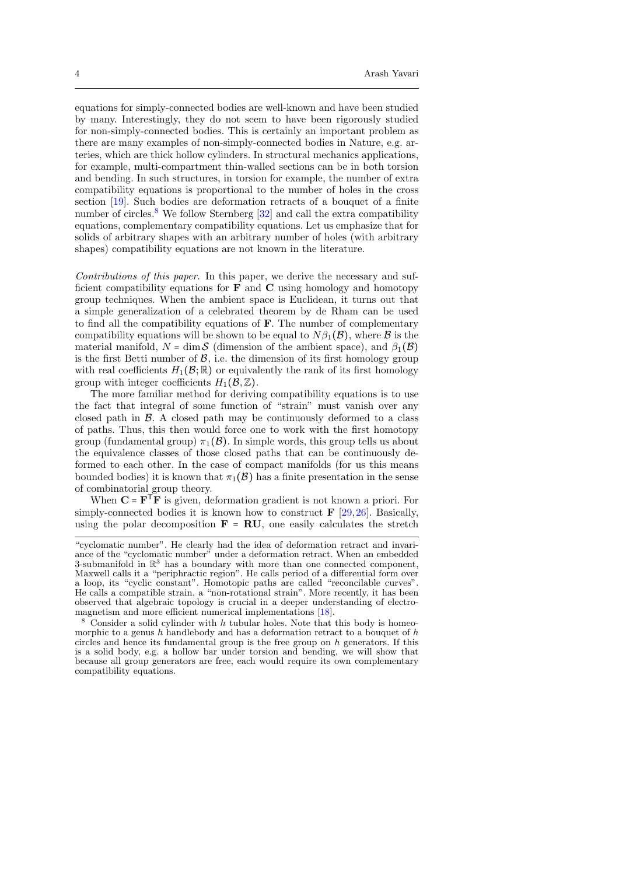equations for simply-connected bodies are well-known and have been studied by many. Interestingly, they do not seem to have been rigorously studied for non-simply-connected bodies. This is certainly an important problem as there are many examples of non-simply-connected bodies in Nature, e.g. arteries, which are thick hollow cylinders. In structural mechanics applications, for example, multi-compartment thin-walled sections can be in both torsion and bending. In such structures, in torsion for example, the number of extra compatibility equations is proportional to the number of holes in the cross section [\[19\]](#page-16-10). Such bodies are deformation retracts of a bouquet of a finite number of circles.<sup>[8](#page-3-0)</sup> We follow Sternberg  $[32]$  and call the extra compatibility equations, complementary compatibility equations. Let us emphasize that for solids of arbitrary shapes with an arbitrary number of holes (with arbitrary shapes) compatibility equations are not known in the literature.

Contributions of this paper. In this paper, we derive the necessary and sufficient compatibility equations for  $\bf{F}$  and  $\bf{C}$  using homology and homotopy group techniques. When the ambient space is Euclidean, it turns out that a simple generalization of a celebrated theorem by de Rham can be used to find all the compatibility equations of F. The number of complementary compatibility equations will be shown to be equal to  $N\beta_1(\mathcal{B})$ , where  $\mathcal B$  is the material manifold,  $N = \dim \mathcal{S}$  (dimension of the ambient space), and  $\beta_1(\mathcal{B})$ is the first Betti number of  $\beta$ , i.e. the dimension of its first homology group with real coefficients  $H_1(\mathcal{B}; \mathbb{R})$  or equivalently the rank of its first homology group with integer coefficients  $H_1(\mathcal{B}, \mathbb{Z})$ .

The more familiar method for deriving compatibility equations is to use the fact that integral of some function of "strain" must vanish over any closed path in  $\beta$ . A closed path may be continuously deformed to a class of paths. Thus, this then would force one to work with the first homotopy group (fundamental group)  $\pi_1(\mathcal{B})$ . In simple words, this group tells us about the equivalence classes of those closed paths that can be continuously deformed to each other. In the case of compact manifolds (for us this means bounded bodies) it is known that  $\pi_1(\mathcal{B})$  has a finite presentation in the sense of combinatorial group theory.

When  $\mathbf{C} = \mathbf{F}^{\mathsf{T}} \mathbf{F}$  is given, deformation gradient is not known a priori. For simply-connected bodies it is known how to construct  $\mathbf{F}$  [\[29,](#page-16-5)[26\]](#page-16-7). Basically, using the polar decomposition  $\mathbf{F} = \mathbf{RU}$ , one easily calculates the stretch

<sup>&</sup>quot;cyclomatic number". He clearly had the idea of deformation retract and invariance of the "cyclomatic number" under a deformation retract. When an embedded 3-submanifold in  $\mathbb{R}^3$  has a boundary with more than one connected component, Maxwell calls it a "periphractic region". He calls period of a differential form over a loop, its "cyclic constant". Homotopic paths are called "reconcilable curves". He calls a compatible strain, a "non-rotational strain". More recently, it has been observed that algebraic topology is crucial in a deeper understanding of electro-magnetism and more efficient numerical implementations [\[18\]](#page-16-12).

<span id="page-3-0"></span> $8$  Consider a solid cylinder with  $h$  tubular holes. Note that this body is homeomorphic to a genus h handlebody and has a deformation retract to a bouquet of h circles and hence its fundamental group is the free group on  $h$  generators. If this is a solid body, e.g. a hollow bar under torsion and bending, we will show that because all group generators are free, each would require its own complementary compatibility equations.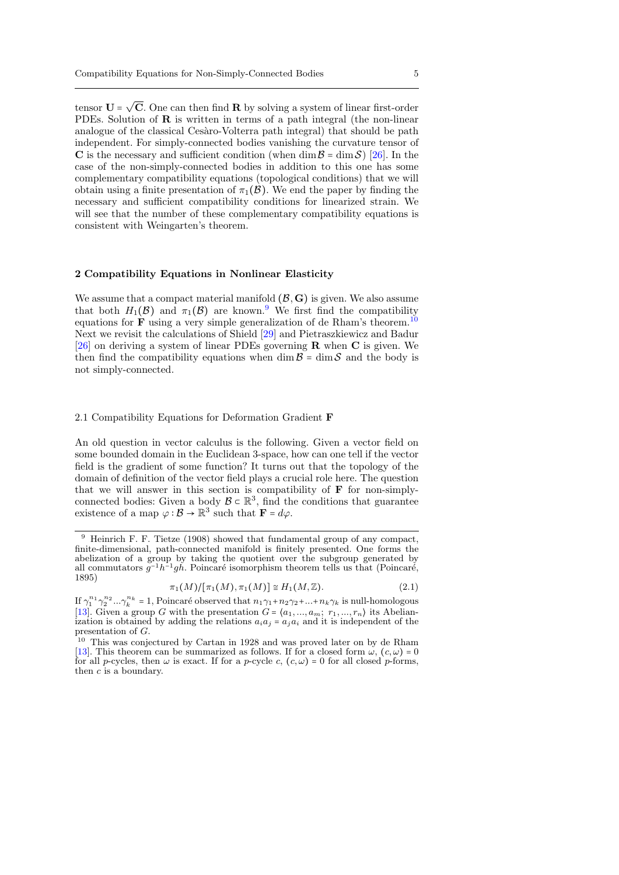tensor  $\mathbf{U}$  = √ C. One can then find R by solving a system of linear first-order PDEs. Solution of R is written in terms of a path integral (the non-linear analogue of the classical Cesàro-Volterra path integral) that should be path independent. For simply-connected bodies vanishing the curvature tensor of C is the necessary and sufficient condition (when dim  $\mathcal{B} = \dim \mathcal{S}$ ) [\[26\]](#page-16-7). In the case of the non-simply-connected bodies in addition to this one has some complementary compatibility equations (topological conditions) that we will obtain using a finite presentation of  $\pi_1(\mathcal{B})$ . We end the paper by finding the necessary and sufficient compatibility conditions for linearized strain. We will see that the number of these complementary compatibility equations is consistent with Weingarten's theorem.

## 2 Compatibility Equations in Nonlinear Elasticity

We assume that a compact material manifold  $(\mathcal{B}, G)$  is given. We also assume that both  $H_1(\mathcal{B})$  and  $\pi_1(\mathcal{B})$  are known.<sup>[9](#page-4-0)</sup> We first find the compatibility equations for **F** using a very simple generalization of de Rham's theorem.<sup>[10](#page-4-1)</sup> Next we revisit the calculations of Shield [\[29\]](#page-16-5) and Pietraszkiewicz and Badur [\[26\]](#page-16-7) on deriving a system of linear PDEs governing  $\bf{R}$  when  $\bf{C}$  is given. We then find the compatibility equations when dim  $\mathcal{B} = \dim \mathcal{S}$  and the body is not simply-connected.

## 2.1 Compatibility Equations for Deformation Gradient F

An old question in vector calculus is the following. Given a vector field on some bounded domain in the Euclidean 3-space, how can one tell if the vector field is the gradient of some function? It turns out that the topology of the domain of definition of the vector field plays a crucial role here. The question that we will answer in this section is compatibility of F for non-simplyconnected bodies: Given a body  $\mathcal{B} \subset \mathbb{R}^3$ , find the conditions that guarantee existence of a map  $\varphi : \mathcal{B} \to \mathbb{R}^3$  such that  $\mathbf{F} = d\varphi$ .

<span id="page-4-0"></span><sup>9</sup> Heinrich F. F. Tietze (1908) showed that fundamental group of any compact, finite-dimensional, path-connected manifold is finitely presented. One forms the abelization of a group by taking the quotient over the subgroup generated by all commutators  $g^{-1}h^{-1}gh$ . Poincaré isomorphism theorem tells us that (Poincaré, 1895)

$$
\pi_1(M)/[\pi_1(M), \pi_1(M)] \cong H_1(M, \mathbb{Z}). \tag{2.1}
$$

If  $\gamma_1^{n_1} \gamma_2^{n_2} \dots \gamma_k^{n_k} = 1$ , Poincaré observed that  $n_1 \gamma_1 + n_2 \gamma_2 + \dots + n_k \gamma_k$  is null-homologous [\[13\]](#page-15-2). Given a group G with the presentation  $G = \langle a_1, ..., a_m; r_1, ..., r_n \rangle$  its Abelianization is obtained by adding the relations  $a_i a_j = a_j a_i$  and it is independent of the presentation of G.

<span id="page-4-1"></span><sup>10</sup> This was conjectured by Cartan in 1928 and was proved later on by de Rham [\[13\]](#page-15-2). This theorem can be summarized as follows. If for a closed form  $\omega$ ,  $(c, \omega) = 0$ for all p-cycles, then  $\omega$  is exact. If for a p-cycle c,  $(c, \omega) = 0$  for all closed p-forms, then c is a boundary.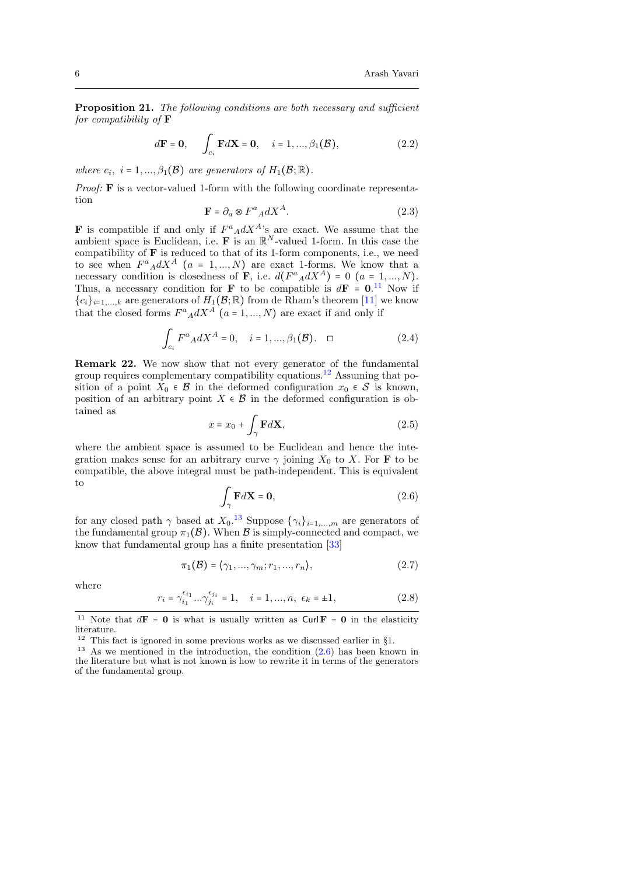Proposition 21. The following conditions are both necessary and sufficient for compatibility of  $\bf{F}$ 

$$
d\mathbf{F} = \mathbf{0}, \qquad \int_{c_i} \mathbf{F} d\mathbf{X} = \mathbf{0}, \quad i = 1, ..., \beta_1(\mathcal{B}),
$$
 (2.2)

where  $c_i$ ,  $i = 1, ..., \beta_1(\mathcal{B})$  are generators of  $H_1(\mathcal{B}; \mathbb{R})$ .

Proof: **F** is a vector-valued 1-form with the following coordinate representation

$$
\mathbf{F} = \partial_a \otimes F^a{}_A dX^A. \tag{2.3}
$$

**F** is compatible if and only if  $F^a{}_A dX^A$ 's are exact. We assume that the ambient space is Euclidean, i.e. F is an  $\mathbb{R}^N$ -valued 1-form. In this case the compatibility of F is reduced to that of its 1-form components, i.e., we need to see when  $F^a{}_A dX^A$  (a = 1, ..., N) are exact 1-forms. We know that a necessary condition is closedness of **F**, i.e.  $d(F^a{}_A dX^A) = 0$  ( $a = 1, ..., N$ ). Thus, a necessary condition for **F** to be compatible is  $d\mathbf{F} = \mathbf{0}^{11}$  $d\mathbf{F} = \mathbf{0}^{11}$  $d\mathbf{F} = \mathbf{0}^{11}$ . Now if  ${c_i}_{i=1,\ldots,k}$  are generators of  $H_1(\mathcal{B};\mathbb{R})$  from de Rham's theorem [\[11\]](#page-15-9) we know that the closed forms  $F^a{}_A dX^A$   $(a = 1, ..., N)$  are exact if and only if

<span id="page-5-4"></span>
$$
\int_{c_i} F^a{}_A dX^A = 0, \quad i = 1, ..., \beta_1(\mathcal{B}). \quad \Box \tag{2.4}
$$

Remark 22. We now show that not every generator of the fundamental group requires complementary compatibility equations.<sup>[12](#page-5-1)</sup> Assuming that position of a point  $X_0 \in \mathcal{B}$  in the deformed configuration  $x_0 \in \mathcal{S}$  is known, position of an arbitrary point  $X \in \mathcal{B}$  in the deformed configuration is obtained as

$$
x = x_0 + \int_{\gamma} \mathbf{F} d\mathbf{X},\tag{2.5}
$$

where the ambient space is assumed to be Euclidean and hence the integration makes sense for an arbitrary curve  $\gamma$  joining  $X_0$  to X. For **F** to be compatible, the above integral must be path-independent. This is equivalent to

<span id="page-5-3"></span>
$$
\int_{\gamma} \mathbf{F} d\mathbf{X} = \mathbf{0},\tag{2.6}
$$

for any closed path  $\gamma$  based at  $X_0$ .<sup>[13](#page-5-2)</sup> Suppose  $\{\gamma_i\}_{i=1,\dots,m}$  are generators of the fundamental group  $\pi_1(\mathcal{B})$ . When  $\mathcal B$  is simply-connected and compact, we know that fundamental group has a finite presentation [\[33\]](#page-16-13)

$$
\pi_1(\mathcal{B}) = \langle \gamma_1, \dots, \gamma_m; r_1, \dots, r_n \rangle, \tag{2.7}
$$

where

$$
r_i = \gamma_{i_1}^{\epsilon_{i_1}} \dots \gamma_{j_i}^{\epsilon_{j_i}} = 1, \quad i = 1, \dots, n, \ \epsilon_k = \pm 1,
$$
 (2.8)

<span id="page-5-0"></span><sup>&</sup>lt;sup>11</sup> Note that  $d\mathbf{F} = \mathbf{0}$  is what is usually written as  $\text{Curl}\,\mathbf{F} = \mathbf{0}$  in the elasticity literature.

<span id="page-5-1"></span><sup>12</sup> This fact is ignored in some previous works as we discussed earlier in §1.

<span id="page-5-2"></span><sup>&</sup>lt;sup>13</sup> As we mentioned in the introduction, the condition  $(2.6)$  has been known in the literature but what is not known is how to rewrite it in terms of the generators of the fundamental group.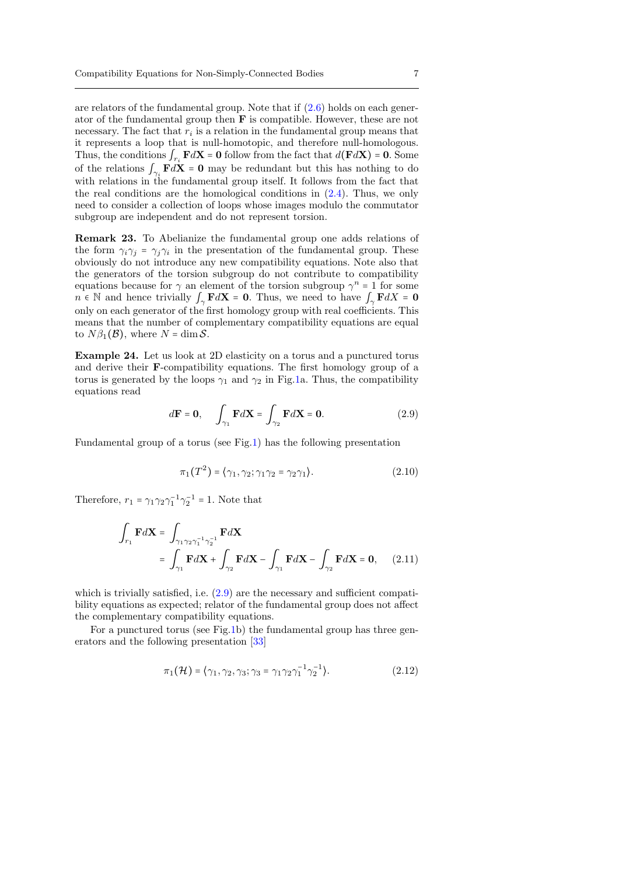are relators of the fundamental group. Note that if [\(2.6\)](#page-5-3) holds on each generator of the fundamental group then F is compatible. However, these are not necessary. The fact that  $r_i$  is a relation in the fundamental group means that it represents a loop that is null-homotopic, and therefore null-homologous. Thus, the conditions  $\int_{r_i} \mathbf{F} d\mathbf{X} = \mathbf{0}$  follow from the fact that  $d(\mathbf{F} d\mathbf{X}) = \mathbf{0}$ . Some of the relations  $\int_{\gamma_i} \mathbf{F} d\mathbf{X} = \mathbf{0}$  may be redundant but this has nothing to do with relations in the fundamental group itself. It follows from the fact that the real conditions are the homological conditions in [\(2.4\)](#page-5-4). Thus, we only need to consider a collection of loops whose images modulo the commutator subgroup are independent and do not represent torsion.

Remark 23. To Abelianize the fundamental group one adds relations of the form  $\gamma_i \gamma_j = \gamma_j \gamma_i$  in the presentation of the fundamental group. These obviously do not introduce any new compatibility equations. Note also that the generators of the torsion subgroup do not contribute to compatibility equations because for  $\gamma$  an element of the torsion subgroup  $\gamma^n = 1$  for some  $n \in \mathbb{N}$  and hence trivially  $\int_{\gamma} \mathbf{F} dX = \mathbf{0}$ . Thus, we need to have  $\int_{\gamma} \mathbf{F} dX = \mathbf{0}$ only on each generator of the first homology group with real coefficients. This means that the number of complementary compatibility equations are equal to  $N\beta_1(\mathcal{B})$ , where  $N = \dim \mathcal{S}$ .

Example 24. Let us look at 2D elasticity on a torus and a punctured torus and derive their F-compatibility equations. The first homology group of a torus is generated by the loops  $\gamma_1$  and  $\gamma_2$  in Fig[.1a](#page-7-0). Thus, the compatibility equations read

<span id="page-6-0"></span>
$$
d\mathbf{F} = \mathbf{0}, \quad \int_{\gamma_1} \mathbf{F} d\mathbf{X} = \int_{\gamma_2} \mathbf{F} d\mathbf{X} = \mathbf{0}.
$$
 (2.9)

Fundamental group of a torus (see Fig[.1\)](#page-7-0) has the following presentation

$$
\pi_1(T^2) = \langle \gamma_1, \gamma_2; \gamma_1 \gamma_2 = \gamma_2 \gamma_1 \rangle. \tag{2.10}
$$

Therefore,  $r_1 = \gamma_1 \gamma_2 \gamma_1^{-1} \gamma_2^{-1} = 1$ . Note that

$$
\int_{r_1} \mathbf{F} d\mathbf{X} = \int_{\gamma_1 \gamma_2 \gamma_1^{-1} \gamma_2^{-1}} \mathbf{F} d\mathbf{X}
$$
\n
$$
= \int_{\gamma_1} \mathbf{F} d\mathbf{X} + \int_{\gamma_2} \mathbf{F} d\mathbf{X} - \int_{\gamma_1} \mathbf{F} d\mathbf{X} - \int_{\gamma_2} \mathbf{F} d\mathbf{X} = \mathbf{0}, \quad (2.11)
$$

which is trivially satisfied, i.e.  $(2.9)$  are the necessary and sufficient compatibility equations as expected; relator of the fundamental group does not affect the complementary compatibility equations.

For a punctured torus (see Fig[.1b](#page-7-0)) the fundamental group has three generators and the following presentation [\[33\]](#page-16-13)

$$
\pi_1(\mathcal{H}) = \langle \gamma_1, \gamma_2, \gamma_3; \gamma_3 = \gamma_1 \gamma_2 \gamma_1^{-1} \gamma_2^{-1} \rangle. \tag{2.12}
$$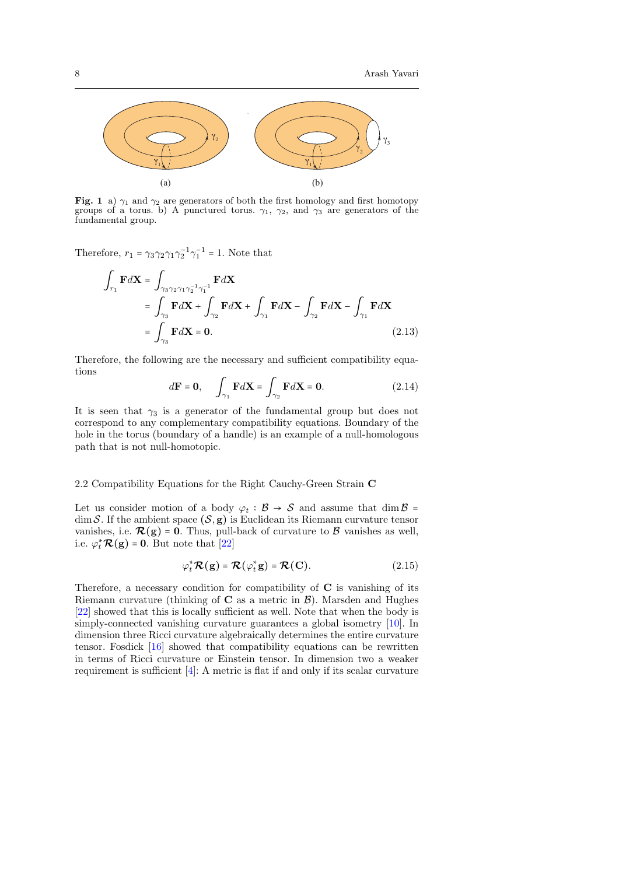

<span id="page-7-0"></span>Fig. 1 a)  $\gamma_1$  and  $\gamma_2$  are generators of both the first homology and first homotopy groups of a torus. b) A punctured torus.  $\gamma_1$ ,  $\gamma_2$ , and  $\gamma_3$  are generators of the fundamental group.

Therefore,  $r_1 = \gamma_3 \gamma_2 \gamma_1 \gamma_2^{-1} \gamma_1^{-1} = 1$ . Note that

$$
\int_{r_1} \mathbf{F} d\mathbf{X} = \int_{\gamma_3 \gamma_2 \gamma_1 \gamma_2^{-1} \gamma_1^{-1}} \mathbf{F} d\mathbf{X}
$$
\n
$$
= \int_{\gamma_3} \mathbf{F} d\mathbf{X} + \int_{\gamma_2} \mathbf{F} d\mathbf{X} + \int_{\gamma_1} \mathbf{F} d\mathbf{X} - \int_{\gamma_2} \mathbf{F} d\mathbf{X} - \int_{\gamma_1} \mathbf{F} d\mathbf{X}
$$
\n
$$
= \int_{\gamma_3} \mathbf{F} d\mathbf{X} = \mathbf{0}.
$$
\n(2.13)

Therefore, the following are the necessary and sufficient compatibility equations

$$
d\mathbf{F} = \mathbf{0}, \qquad \int_{\gamma_1} \mathbf{F} d\mathbf{X} = \int_{\gamma_2} \mathbf{F} d\mathbf{X} = \mathbf{0}.
$$
 (2.14)

It is seen that  $\gamma_3$  is a generator of the fundamental group but does not correspond to any complementary compatibility equations. Boundary of the hole in the torus (boundary of a handle) is an example of a null-homologous path that is not null-homotopic.

# 2.2 Compatibility Equations for the Right Cauchy-Green Strain C

Let us consider motion of a body  $\varphi_t : \mathcal{B} \to \mathcal{S}$  and assume that  $\dim \mathcal{B} =$  $\dim \mathcal{S}$ . If the ambient space  $(\mathcal{S}, g)$  is Euclidean its Riemann curvature tensor vanishes, i.e.  $\mathcal{R}(g) = 0$ . Thus, pull-back of curvature to  $\beta$  vanishes as well, i.e.  $\varphi_t^* \mathcal{R}(\mathbf{g}) = \mathbf{0}$ . But note that [\[22\]](#page-16-14)

$$
\varphi_t^* \mathcal{R}(\mathbf{g}) = \mathcal{R}(\varphi_t^* \mathbf{g}) = \mathcal{R}(\mathbf{C}). \tag{2.15}
$$

Therefore, a necessary condition for compatibility of  $C$  is vanishing of its Riemann curvature (thinking of  $C$  as a metric in  $\mathcal{B}$ ). Marsden and Hughes [\[22\]](#page-16-14) showed that this is locally sufficient as well. Note that when the body is simply-connected vanishing curvature guarantees a global isometry [\[10\]](#page-15-3). In dimension three Ricci curvature algebraically determines the entire curvature tensor. Fosdick [\[16\]](#page-15-10) showed that compatibility equations can be rewritten in terms of Ricci curvature or Einstein tensor. In dimension two a weaker requirement is sufficient [\[4\]](#page-15-11): A metric is flat if and only if its scalar curvature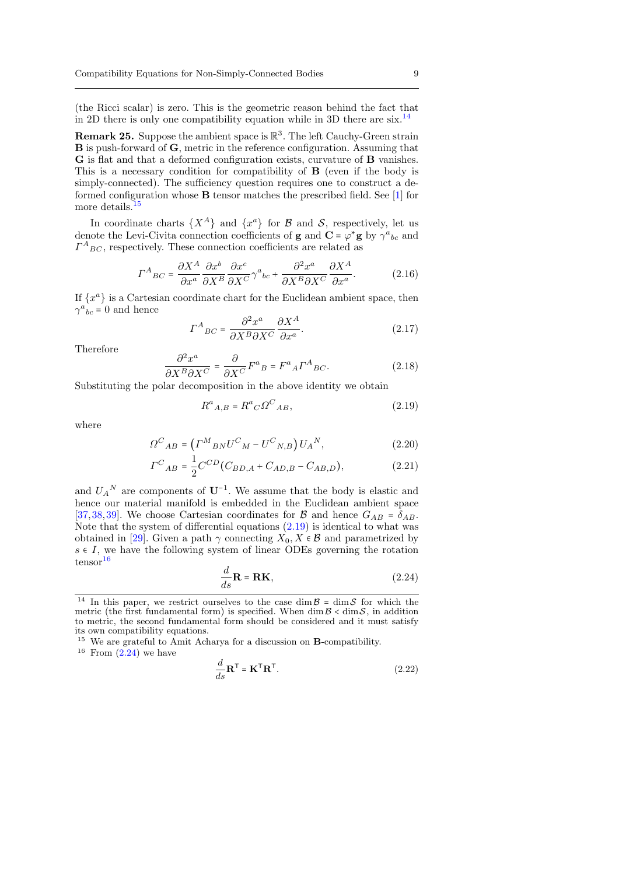(the Ricci scalar) is zero. This is the geometric reason behind the fact that in 2D there is only one compatibility equation while in 3D there are six.<sup>[14](#page-8-0)</sup>

**Remark 25.** Suppose the ambient space is  $\mathbb{R}^3$ . The left Cauchy-Green strain B is push-forward of G, metric in the reference configuration. Assuming that G is flat and that a deformed configuration exists, curvature of B vanishes. This is a necessary condition for compatibility of B (even if the body is simply-connected). The sufficiency question requires one to construct a deformed configuration whose B tensor matches the prescribed field. See [\[1\]](#page-15-6) for more details.<sup>[15](#page-8-1)</sup>

In coordinate charts  $\{X^A\}$  and  $\{x^a\}$  for  $\mathcal B$  and  $\mathcal S$ , respectively, let us denote the Levi-Civita connection coefficients of **g** and  $\mathbf{C} = \varphi^* \mathbf{g}$  by  $\gamma^a{}_{bc}$  and  $\Gamma^A{}_{BC}$ , respectively. These connection coefficients are related as

$$
\Gamma^{A}{}_{BC} = \frac{\partial X^{A}}{\partial x^{a}} \frac{\partial x^{b}}{\partial X^{B}} \frac{\partial x^{c}}{\partial X^{C}} \gamma^{a}{}_{bc} + \frac{\partial^{2} x^{a}}{\partial X^{B} \partial X^{C}} \frac{\partial X^{A}}{\partial x^{a}}.
$$
 (2.16)

If  $\{x^a\}$  is a Cartesian coordinate chart for the Euclidean ambient space, then  $\gamma^a{}_{bc} = 0$  and hence

$$
\Gamma^{A}{}_{BC} = \frac{\partial^{2} x^{a}}{\partial X^{B} \partial X^{C}} \frac{\partial X^{A}}{\partial x^{a}}.
$$
\n(2.17)

Therefore

$$
\frac{\partial^2 x^a}{\partial X^B \partial X^C} = \frac{\partial}{\partial X^C} F^a{}_B = F^a{}_A \Gamma^A{}_{BC}.
$$
 (2.18)

Substituting the polar decomposition in the above identity we obtain

<span id="page-8-2"></span>
$$
R^a{}_{A,B} = R^a{}_C \Omega^C{}_{AB},\tag{2.19}
$$

where

$$
\Omega^C{}_{AB} = \left(\Gamma^M{}_{BN} U^C{}_M - U^C{}_{N,B}\right) U_A{}^N,\tag{2.20}
$$

$$
I^{C}{}_{AB} = \frac{1}{2}C^{CD}(C_{BD,A} + C_{AD,B} - C_{AB,D}),
$$
\n(2.21)

and  $U_A^N$  are components of  $U^{-1}$ . We assume that the body is elastic and hence our material manifold is embedded in the Euclidean ambient space [\[37,](#page-16-15)[38,](#page-16-16)[39\]](#page-16-17). We choose Cartesian coordinates for  $\mathcal{B}$  and hence  $G_{AB} = \delta_{AB}$ . Note that the system of differential equations  $(2.19)$  is identical to what was obtained in [\[29\]](#page-16-5). Given a path  $\gamma$  connecting  $X_0, X \in \mathcal{B}$  and parametrized by  $s \in I$ , we have the following system of linear ODEs governing the rotation  $t$ ensor $16$ 

<span id="page-8-4"></span>
$$
\frac{d}{ds}\mathbf{R} = \mathbf{R}\mathbf{K},\qquad(2.24)
$$

<span id="page-8-1"></span><sup>15</sup> We are grateful to Amit Acharya for a discussion on **B**-compatibility.

<span id="page-8-3"></span> $16$  From  $(2.24)$  we have

$$
\frac{d}{ds}\mathbf{R}^{\mathsf{T}} = \mathbf{K}^{\mathsf{T}}\mathbf{R}^{\mathsf{T}}.\tag{2.22}
$$

<span id="page-8-0"></span><sup>&</sup>lt;sup>14</sup> In this paper, we restrict ourselves to the case dim  $\beta$  = dim  $\delta$  for which the metric (the first fundamental form) is specified. When  $\dim \mathcal{B} < \dim \mathcal{S}$ , in addition to metric, the second fundamental form should be considered and it must satisfy its own compatibility equations.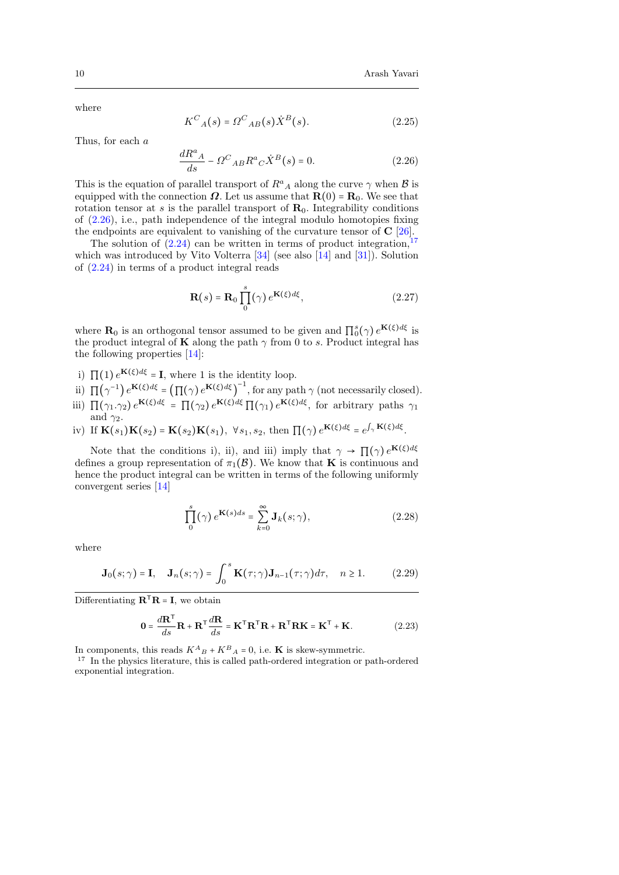where

$$
K_{A}(s) = \Omega_{AB}(s) \dot{X}^{B}(s). \tag{2.25}
$$

Thus, for each a

<span id="page-9-0"></span>
$$
\frac{dR^a{}_A}{ds} - \Omega^C{}_{AB}R^a{}_C\dot{X}^B(s) = 0.
$$
\n(2.26)

This is the equation of parallel transport of  $R^a{}_A$  along the curve  $\gamma$  when  $\mathcal B$  is equipped with the connection  $\Omega$ . Let us assume that  $\mathbf{R}(0) = \mathbf{R}_0$ . We see that rotation tensor at s is the parallel transport of  $\mathbf{R}_0$ . Integrability conditions of [\(2.26\)](#page-9-0), i.e., path independence of the integral modulo homotopies fixing the endpoints are equivalent to vanishing of the curvature tensor of  $C$  [\[26\]](#page-16-7).

The solution of  $(2.24)$  can be written in terms of product integration,  $17$ which was introduced by Vito Volterra [\[34\]](#page-16-18) (see also [\[14\]](#page-15-12) and [\[31\]](#page-16-19)). Solution of [\(2.24\)](#page-8-4) in terms of a product integral reads

<span id="page-9-2"></span>
$$
\mathbf{R}(s) = \mathbf{R}_0 \prod_0^s (\gamma) e^{\mathbf{K}(\xi) d\xi}, \qquad (2.27)
$$

where  $\mathbf{R}_0$  is an orthogonal tensor assumed to be given and  $\prod_0^s(\gamma) e^{\mathbf{K}(\xi)d\xi}$  is the product integral of **K** along the path  $\gamma$  from 0 to s. Product integral has the following properties [\[14\]](#page-15-12):

- i)  $\Pi(1) e^{K(\xi)d\xi} = I$ , where 1 is the identity loop.
- ii)  $\Pi(\gamma^{-1}) e^{i \mathbf{K}(\xi) d\xi} = \left( \prod(\gamma) e^{i \mathbf{K}(\xi) d\xi} \right)^{-1}$ , for any path  $\gamma$  (not necessarily closed).
- iii)  $\Pi(\gamma_1.\gamma_2) e^{i\mathbf{K}(\xi)d\xi} = \Pi(\gamma_2) e^{i\mathbf{K}(\xi)d\xi} \Pi(\gamma_1) e^{i\mathbf{K}(\xi)d\xi}$ , for arbitrary paths  $\gamma_1$ and  $\gamma_2$ .
- iv) If  $\mathbf{K}(s_1)\mathbf{K}(s_2) = \mathbf{K}(s_2)\mathbf{K}(s_1)$ ,  $\forall s_1, s_2$ , then  $\prod(\gamma)e^{\mathbf{K}(\xi)d\xi} = e^{\int_{\gamma}\mathbf{K}(\xi)d\xi}$ .

Note that the conditions i), ii), and iii) imply that  $\gamma \to \Pi(\gamma) e^{K(\xi)d\xi}$ defines a group representation of  $\pi_1(\mathcal{B})$ . We know that **K** is continuous and hence the product integral can be written in terms of the following uniformly convergent series [\[14\]](#page-15-12)

$$
\prod_{0}^{s}(\gamma) e^{\mathbf{K}(s)ds} = \sum_{k=0}^{\infty} \mathbf{J}_k(s; \gamma),
$$
\n(2.28)

where

$$
\mathbf{J}_0(s;\gamma) = \mathbf{I}, \quad \mathbf{J}_n(s;\gamma) = \int_0^s \mathbf{K}(\tau;\gamma) \mathbf{J}_{n-1}(\tau;\gamma) d\tau, \quad n \ge 1.
$$
 (2.29)

Differentiating  $\mathbf{R}^{\mathsf{T}}\mathbf{R} = \mathbf{I}$ , we obtain

$$
\mathbf{0} = \frac{d\mathbf{R}^{\mathsf{T}}}{ds}\mathbf{R} + \mathbf{R}^{\mathsf{T}}\frac{d\mathbf{R}}{ds} = \mathbf{K}^{\mathsf{T}}\mathbf{R}^{\mathsf{T}}\mathbf{R} + \mathbf{R}^{\mathsf{T}}\mathbf{R}\mathbf{K} = \mathbf{K}^{\mathsf{T}} + \mathbf{K}.
$$
 (2.23)

In components, this reads  $K^{A}{}_{B} + K^{B}{}_{A} = 0$ , i.e. **K** is skew-symmetric.

<span id="page-9-1"></span> $^{17}\,$  In the physics literature, this is called path-ordered integration or path-ordered exponential integration.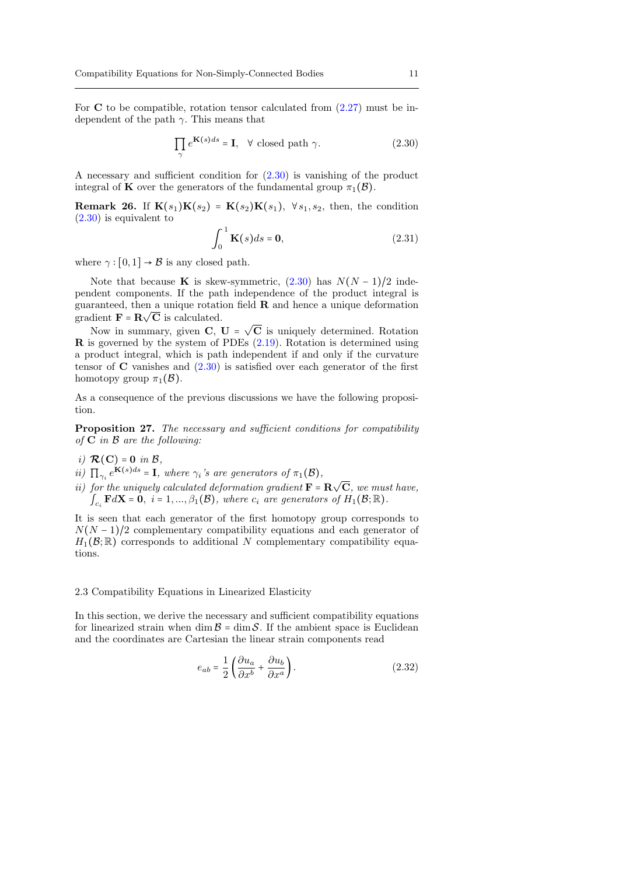For  $C$  to be compatible, rotation tensor calculated from  $(2.27)$  must be independent of the path  $\gamma$ . This means that

<span id="page-10-0"></span>
$$
\prod_{\gamma} e^{\mathbf{K}(s)ds} = \mathbf{I}, \quad \forall \text{ closed path } \gamma.
$$
 (2.30)

A necessary and sufficient condition for [\(2.30\)](#page-10-0) is vanishing of the product integral of **K** over the generators of the fundamental group  $\pi_1(\mathcal{B})$ .

**Remark 26.** If  $\mathbf{K}(s_1)\mathbf{K}(s_2) = \mathbf{K}(s_2)\mathbf{K}(s_1)$ ,  $\forall s_1, s_2$ , then, the condition [\(2.30\)](#page-10-0) is equivalent to

$$
\int_0^1 \mathbf{K}(s)ds = \mathbf{0},\tag{2.31}
$$

where  $\gamma : [0, 1] \rightarrow \mathcal{B}$  is any closed path.

Note that because K is skew-symmetric,  $(2.30)$  has  $N(N-1)/2$  independent components. If the path independence of the product integral is guaranteed, then a unique rotation field **R** and hence a unique deformation gradient  $\mathbf{F} = \mathbf{R} \sqrt{\mathbf{C}}$  is calculated. √

Now in summary, given  $C, U =$ C is uniquely determined. Rotation  $\bf{R}$  is governed by the system of PDEs  $(2.19)$ . Rotation is determined using a product integral, which is path independent if and only if the curvature tensor of  $C$  vanishes and  $(2.30)$  is satisfied over each generator of the first homotopy group  $\pi_1(\mathcal{B})$ .

As a consequence of the previous discussions we have the following proposition.

Proposition 27. The necessary and sufficient conditions for compatibility of  $C$  in  $B$  are the following:

- i)  $\mathcal{R}(\mathbf{C}) = \mathbf{0}$  in  $\mathcal{B}$ ,
- ii)  $\prod_{\gamma_i} e^{K(s)ds} = I$ , where  $\gamma_i$ 's are generators of  $\pi_1(\mathcal{B})$ ,
- ii) for the uniquely calculated deformation gradient  $\mathbf{F} = \mathbf{R}$ √ C, we must have,  $\int_{C_i} \mathbf{F} d\mathbf{X} = \hat{\mathbf{0}}, i = 1, ..., \beta_1(\mathcal{B}),$  where  $c_i$  are generators of  $H_1(\mathcal{B}; \mathbb{R}).$

It is seen that each generator of the first homotopy group corresponds to  $N(N-1)/2$  complementary compatibility equations and each generator of  $H_1(\mathcal{B};\mathbb{R})$  corresponds to additional N complementary compatibility equations.

## 2.3 Compatibility Equations in Linearized Elasticity

In this section, we derive the necessary and sufficient compatibility equations for linearized strain when dim  $\mathcal{B} = \dim \mathcal{S}$ . If the ambient space is Euclidean and the coordinates are Cartesian the linear strain components read

$$
e_{ab} = \frac{1}{2} \left( \frac{\partial u_a}{\partial x^b} + \frac{\partial u_b}{\partial x^a} \right).
$$
 (2.32)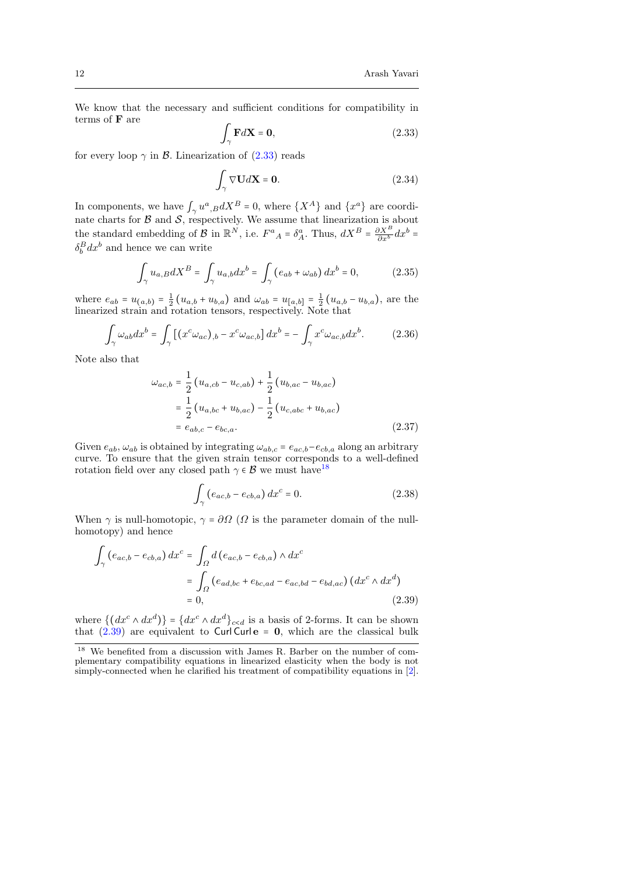We know that the necessary and sufficient conditions for compatibility in terms of F are

<span id="page-11-0"></span>
$$
\int_{\gamma} \mathbf{F} d\mathbf{X} = \mathbf{0},\tag{2.33}
$$

for every loop  $\gamma$  in B. Linearization of [\(2.33\)](#page-11-0) reads

$$
\int_{\gamma} \nabla \mathbf{U} d\mathbf{X} = \mathbf{0}.\tag{2.34}
$$

In components, we have  $\int_{\gamma} u^a_{\gamma, B} dX^B = 0$ , where  $\{X^A\}$  and  $\{x^a\}$  are coordinate charts for  $\mathcal B$  and  $\mathcal S$ , respectively. We assume that linearization is about the standard embedding of B in  $\mathbb{R}^N$ , i.e.  $F^a{}_A = \delta^a_A$ . Thus,  $dX^B = \frac{\partial X^B}{\partial x^b} dx^b =$  $\delta_b^B dx^b$  and hence we can write

$$
\int_{\gamma} u_{a,B} dX^B = \int_{\gamma} u_{a,b} dx^b = \int_{\gamma} \left( e_{ab} + \omega_{ab} \right) dx^b = 0, \tag{2.35}
$$

where  $e_{ab} = u_{(a,b)} = \frac{1}{2} (u_{a,b} + u_{b,a})$  and  $\omega_{ab} = u_{[a,b]} = \frac{1}{2} (u_{a,b} - u_{b,a})$ , are the linearized strain and rotation tensors, respectively. Note that

$$
\int_{\gamma} \omega_{ab} dx^{b} = \int_{\gamma} \left[ \left( x^{c} \omega_{ac} \right)_{,b} - x^{c} \omega_{ac,b} \right] dx^{b} = - \int_{\gamma} x^{c} \omega_{ac,b} dx^{b}.
$$
 (2.36)

Note also that

<span id="page-11-3"></span>
$$
\omega_{ac,b} = \frac{1}{2} (u_{a,cb} - u_{c,ab}) + \frac{1}{2} (u_{b,ac} - u_{b,ac})
$$
  
=  $\frac{1}{2} (u_{a,bc} + u_{b,ac}) - \frac{1}{2} (u_{c,abc} + u_{b,ac})$   
=  $e_{ab,c} - e_{bc,a}$ . (2.37)

Given  $e_{ab}$ ,  $\omega_{ab}$  is obtained by integrating  $\omega_{ab,c} = e_{ac,b} - e_{cb,a}$  along an arbitrary curve. To ensure that the given strain tensor corresponds to a well-defined rotation field over any closed path  $\gamma \in \mathcal{B}$  we must have<sup>[18](#page-11-1)</sup>

$$
\int_{\gamma} \left( e_{ac,b} - e_{cb,a} \right) dx^c = 0. \tag{2.38}
$$

When  $\gamma$  is null-homotopic,  $\gamma = \partial \Omega$  ( $\Omega$  is the parameter domain of the nullhomotopy) and hence

<span id="page-11-2"></span>
$$
\int_{\gamma} \left( e_{ac,b} - e_{cb,a} \right) dx^{c} = \int_{\Omega} d \left( e_{ac,b} - e_{cb,a} \right) \wedge dx^{c}
$$
\n
$$
= \int_{\Omega} \left( e_{ad,bc} + e_{bc,ad} - e_{ac,bd} - e_{bd,ac} \right) \left( dx^{c} \wedge dx^{d} \right)
$$
\n
$$
= 0, \tag{2.39}
$$

where  $\{(dx^c \wedge dx^d)\}\equiv \{dx^c \wedge dx^d\}_{c < d}$  is a basis of 2-forms. It can be shown that  $(2.39)$  are equivalent to Curl Curl e = 0, which are the classical bulk

<span id="page-11-1"></span><sup>18</sup> We benefited from a discussion with James R. Barber on the number of complementary compatibility equations in linearized elasticity when the body is not simply-connected when he clarified his treatment of compatibility equations in [\[2\]](#page-15-13).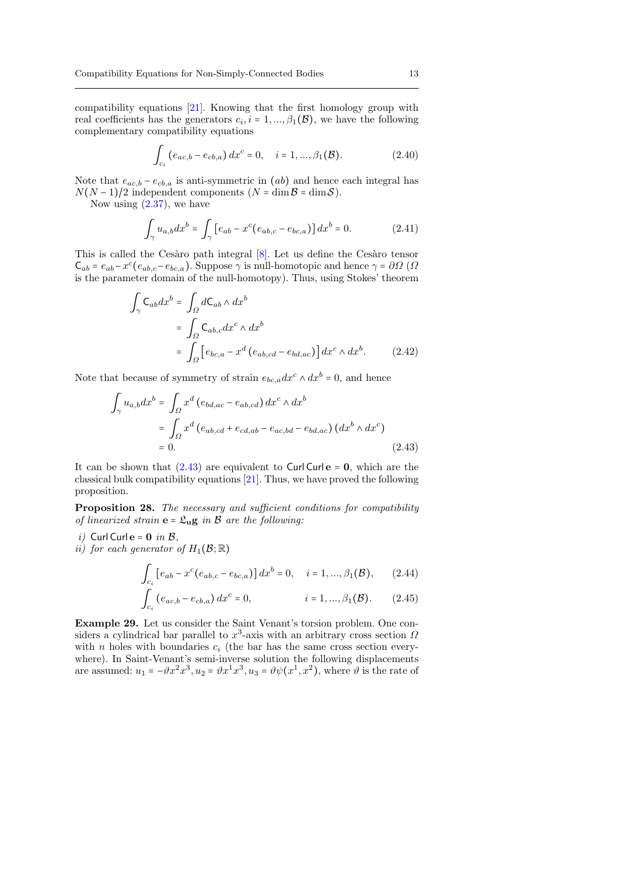compatibility equations [\[21\]](#page-16-0). Knowing that the first homology group with real coefficients has the generators  $c_i$ ,  $i = 1, ..., \beta_1(\mathcal{B})$ , we have the following complementary compatibility equations

$$
\int_{c_i} \left( e_{ac,b} - e_{cb,a} \right) dx^c = 0, \quad i = 1, ..., \beta_1(\mathcal{B}). \tag{2.40}
$$

Note that  $e_{ac,b} - e_{cb,a}$  is anti-symmetric in  $(ab)$  and hence each integral has  $N(N-1)/2$  independent components  $(N = \dim \mathcal{B} = \dim \mathcal{S})$ .

Now using  $(2.37)$ , we have

∫

$$
\int_{\gamma} u_{a,b} dx^{b} = \int_{\gamma} \left[ e_{ab} - x^{c} (e_{ab,c} - e_{bc,a}) \right] dx^{b} = 0.
$$
 (2.41)

This is called the Cesàro path integral  $[8]$ . Let us define the Cesàro tensor  $C_{ab} = e_{ab} - x^c (e_{ab,c} - e_{bc,a})$ . Suppose  $\gamma$  is null-homotopic and hence  $\gamma = \partial \Omega$  ( $\Omega$ is the parameter domain of the null-homotopy). Thus, using Stokes' theorem

$$
\int_{\gamma} C_{ab} dx^{b} = \int_{\Omega} dC_{ab} \wedge dx^{b}
$$
\n
$$
= \int_{\Omega} C_{ab,c} dx^{c} \wedge dx^{b}
$$
\n
$$
= \int_{\Omega} \left[ e_{bc,a} - x^{d} \left( e_{ab,cd} - e_{bd,ac} \right) \right] dx^{c} \wedge dx^{b}.
$$
\n(2.42)

Note that because of symmetry of strain  $e_{bc,a}dx^c \wedge dx^b = 0$ , and hence

<span id="page-12-0"></span>
$$
\int_{\gamma} u_{a,b} dx^{b} = \int_{\Omega} x^{d} (e_{bd,ac} - e_{ab,cd}) dx^{c} \wedge dx^{b}
$$

$$
= \int_{\Omega} x^{d} (e_{ab,cd} + e_{cd,ab} - e_{ac,bd} - e_{bd,ac}) (dx^{b} \wedge dx^{c})
$$

$$
= 0.
$$
 (2.43)

It can be shown that  $(2.43)$  are equivalent to Curl Curl  $e = 0$ , which are the classical bulk compatibility equations [\[21\]](#page-16-0). Thus, we have proved the following proposition.

Proposition 28. The necessary and sufficient conditions for compatibility of linearized strain  $\mathbf{e} = \mathfrak{L}_{\mathbf{u}} \mathbf{g}$  in  $\mathcal B$  are the following:

- i) Curl Curl  $e = 0$  in  $B$ ,
- ii) for each generator of  $H_1(\mathcal{B};\mathbb{R})$

<span id="page-12-1"></span>
$$
\int_{c_i} \left[ e_{ab} - x^c (e_{ab,c} - e_{bc,a}) \right] dx^b = 0, \quad i = 1, ..., \beta_1(\mathcal{B}), \qquad (2.44)
$$

$$
\int_{c_i} \left( e_{ac,b} - e_{cb,a} \right) dx^c = 0, \qquad i = 1, ..., \beta_1(\mathcal{B}). \qquad (2.45)
$$

Example 29. Let us consider the Saint Venant's torsion problem. One considers a cylindrical bar parallel to  $x^3$ -axis with an arbitrary cross section  $\Omega$ with n holes with boundaries  $c_i$  (the bar has the same cross section everywhere). In Saint-Venant's semi-inverse solution the following displacements are assumed:  $u_1 = -\vartheta x^2 x^3, u_2 = \vartheta x^1 x^3, u_3 = \vartheta \psi(x^1, x^2)$ , where  $\vartheta$  is the rate of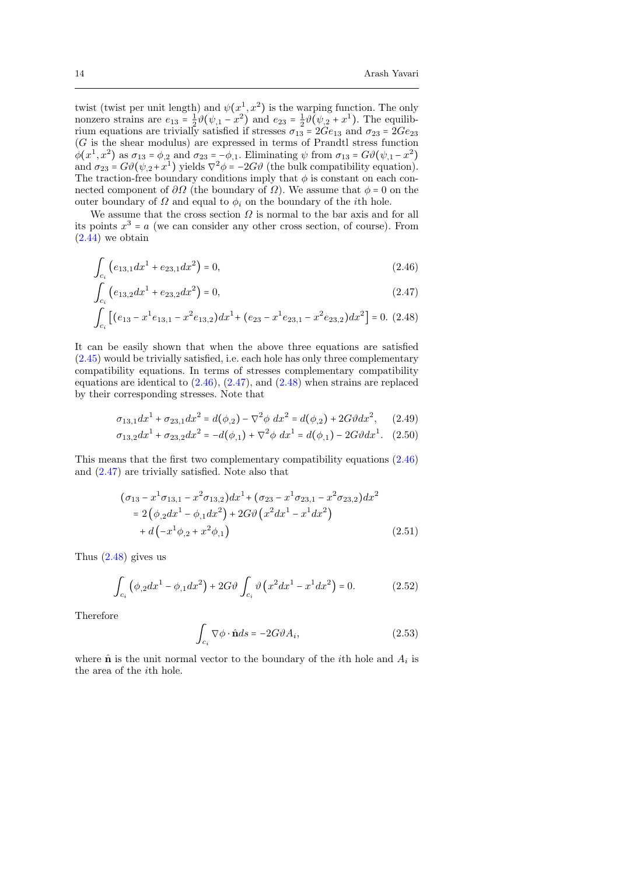twist (twist per unit length) and  $\psi(x^1, x^2)$  is the warping function. The only nonzero strains are  $e_{13} = \frac{1}{2}\vartheta(\psi_{,1} - x^2)$  and  $e_{23} = \frac{1}{2}\vartheta(\psi_{,2} + x^1)$ . The equilibrium equations are trivially satisfied if stresses  $\sigma_{13} = 2Ge_{13}$  and  $\sigma_{23} = 2Ge_{23}$ (G is the shear modulus) are expressed in terms of Prandtl stress function  $\phi(x^1, x^2)$  as  $\sigma_{13} = \phi_{12}$  and  $\sigma_{23} = -\phi_{11}$ . Eliminating  $\psi$  from  $\sigma_{13} = G\vartheta(\psi_{11} - x^2)$ and  $\sigma_{23} = G\vartheta(\psi_{,2} + x^1)$  yields  $\nabla^2 \phi = -2G\vartheta$  (the bulk compatibility equation). The traction-free boundary conditions imply that  $\phi$  is constant on each connected component of  $\partial\Omega$  (the boundary of  $\Omega$ ). We assume that  $\phi = 0$  on the outer boundary of  $\Omega$  and equal to  $\phi_i$  on the boundary of the *i*th hole.

We assume that the cross section  $\Omega$  is normal to the bar axis and for all its points  $x^3 = a$  (we can consider any other cross section, of course). From  $(2.44)$  we obtain

<span id="page-13-0"></span>
$$
\int_{c_i} \left( e_{13,1} dx^1 + e_{23,1} dx^2 \right) = 0,\tag{2.46}
$$

$$
\int_{c_i} \left( e_{13,2} dx^1 + e_{23,2} dx^2 \right) = 0,\tag{2.47}
$$

$$
\int_{c_i} \left[ (e_{13} - x^1 e_{13,1} - x^2 e_{13,2}) dx^1 + (e_{23} - x^1 e_{23,1} - x^2 e_{23,2}) dx^2 \right] = 0. \tag{2.48}
$$

It can be easily shown that when the above three equations are satisfied  $(2.45)$  would be trivially satisfied, i.e. each hole has only three complementary compatibility equations. In terms of stresses complementary compatibility equations are identical to  $(2.46)$ ,  $(2.47)$ , and  $(2.48)$  when strains are replaced by their corresponding stresses. Note that

$$
\sigma_{13,1}dx^1 + \sigma_{23,1}dx^2 = d(\phi_{,2}) - \nabla^2 \phi \ dx^2 = d(\phi_{,2}) + 2G\vartheta dx^2, \quad (2.49)
$$

$$
\sigma_{13,2}dx^1 + \sigma_{23,2}dx^2 = -d(\phi_{,1}) + \nabla^2 \phi \ dx^1 = d(\phi_{,1}) - 2G\vartheta dx^1. \tag{2.50}
$$

This means that the first two complementary compatibility equations [\(2.46\)](#page-13-0) and [\(2.47\)](#page-13-0) are trivially satisfied. Note also that

$$
(\sigma_{13} - x^1 \sigma_{13,1} - x^2 \sigma_{13,2}) dx^1 + (\sigma_{23} - x^1 \sigma_{23,1} - x^2 \sigma_{23,2}) dx^2
$$
  
= 2 (\phi\_{,2} dx^1 - \phi\_{,1} dx^2) + 2G \vartheta (x^2 dx^1 - x^1 dx^2)  
+ d(-x^1 \phi\_{,2} + x^2 \phi\_{,1}) \t(2.51)

Thus  $(2.48)$  gives us

$$
\int_{c_i} (\phi_{,2} dx^1 - \phi_{,1} dx^2) + 2G \vartheta \int_{c_i} \vartheta (x^2 dx^1 - x^1 dx^2) = 0.
$$
 (2.52)

Therefore

$$
\int_{c_i} \nabla \phi \cdot \hat{\mathbf{n}} ds = -2G\vartheta A_i,\tag{2.53}
$$

where  $\hat{\mathbf{n}}$  is the unit normal vector to the boundary of the *i*th hole and  $A_i$  is the area of the ith hole.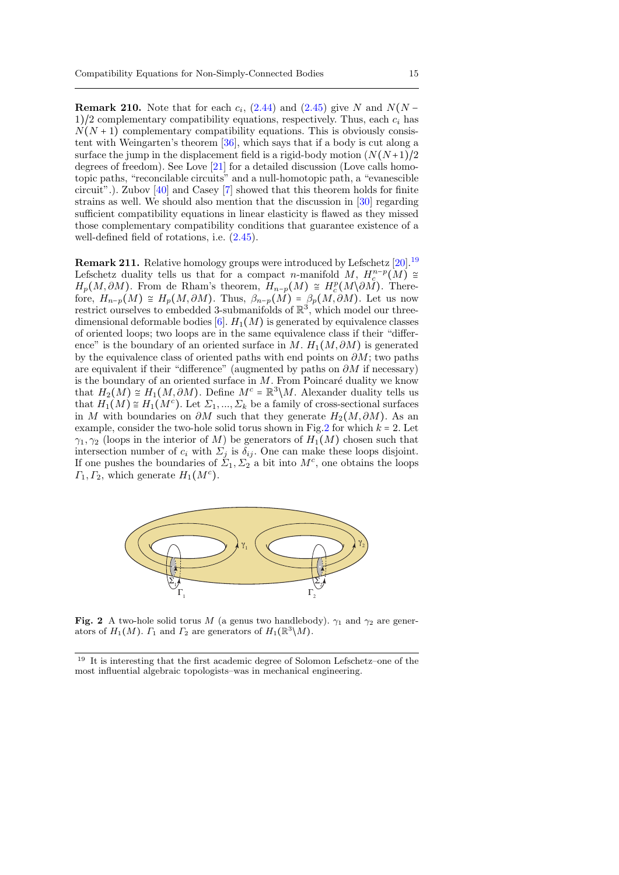**Remark 210.** Note that for each  $c_i$ , [\(2.44\)](#page-12-1) and [\(2.45\)](#page-12-1) give N and  $N(N - \mathbb{R})$  $1/2$  complementary compatibility equations, respectively. Thus, each  $c_i$  has  $N(N + 1)$  complementary compatibility equations. This is obviously consistent with Weingarten's theorem [\[36\]](#page-16-20), which says that if a body is cut along a surface the jump in the displacement field is a rigid-body motion  $(N(N+1)/2)$ degrees of freedom). See Love [\[21\]](#page-16-0) for a detailed discussion (Love calls homotopic paths, "reconcilable circuits" and a null-homotopic path, a "evanescible circuit".). Zubov [\[40\]](#page-16-21) and Casey [\[7\]](#page-15-14) showed that this theorem holds for finite strains as well. We should also mention that the discussion in [\[30\]](#page-16-8) regarding sufficient compatibility equations in linear elasticity is flawed as they missed those complementary compatibility conditions that guarantee existence of a well-defined field of rotations, i.e. [\(2.45\)](#page-12-1).

**Remark 211.** Relative homology groups were introduced by Lefschetz [\[20\]](#page-16-22).<sup>[19](#page-14-0)</sup> Lefschetz duality tells us that for a compact n-manifold M,  $H_c^{n-p}(M) \cong$  $H_p(M, \partial M)$ . From de Rham's theorem,  $H_{n-p}(M) \cong H_c^p(M \backslash \partial M)$ . Therefore,  $H_{n-p}(M) \cong H_p(M, \partial M)$ . Thus,  $\beta_{n-p}(M) = \beta_p(M, \partial M)$ . Let us now restrict ourselves to embedded 3-submanifolds of  $\mathbb{R}^3$ , which model our threedimensional deformable bodies  $[6]$ .  $H_1(M)$  is generated by equivalence classes of oriented loops; two loops are in the same equivalence class if their "difference" is the boundary of an oriented surface in M.  $H_1(M, \partial M)$  is generated by the equivalence class of oriented paths with end points on  $\partial M$ ; two paths are equivalent if their "difference" (augmented by paths on  $\partial M$  if necessary) is the boundary of an oriented surface in  $M$ . From Poincaré duality we know that  $H_2(M) \cong H_1(M, \partial M)$ . Define  $M^c = \mathbb{R}^3 \backslash M$ . Alexander duality tells us that  $H_1(M) \cong H_1(M^c)$ . Let  $\Sigma_1, ..., \Sigma_k$  be a family of cross-sectional surfaces in M with boundaries on  $\partial M$  such that they generate  $H_2(M, \partial M)$ . As an example, consider the two-hole solid torus shown in Fig[.2](#page-14-1) for which  $k = 2$ . Let  $\gamma_1, \gamma_2$  (loops in the interior of M) be generators of  $H_1(M)$  chosen such that intersection number of  $c_i$  with  $\Sigma_j$  is  $\delta_{ij}$ . One can make these loops disjoint. If one pushes the boundaries of  $\overline{\Sigma}_1, \overline{\Sigma}_2$  a bit into  $M^c$ , one obtains the loops  $\Gamma_1, \Gamma_2$ , which generate  $H_1(M^c)$ .



<span id="page-14-1"></span>Fig. 2 A two-hole solid torus M (a genus two handlebody).  $\gamma_1$  and  $\gamma_2$  are generators of  $H_1(M)$ .  $\Gamma_1$  and  $\Gamma_2$  are generators of  $H_1(\mathbb{R}^3 \setminus M)$ .

<span id="page-14-0"></span><sup>19</sup> It is interesting that the first academic degree of Solomon Lefschetz–one of the most influential algebraic topologists–was in mechanical engineering.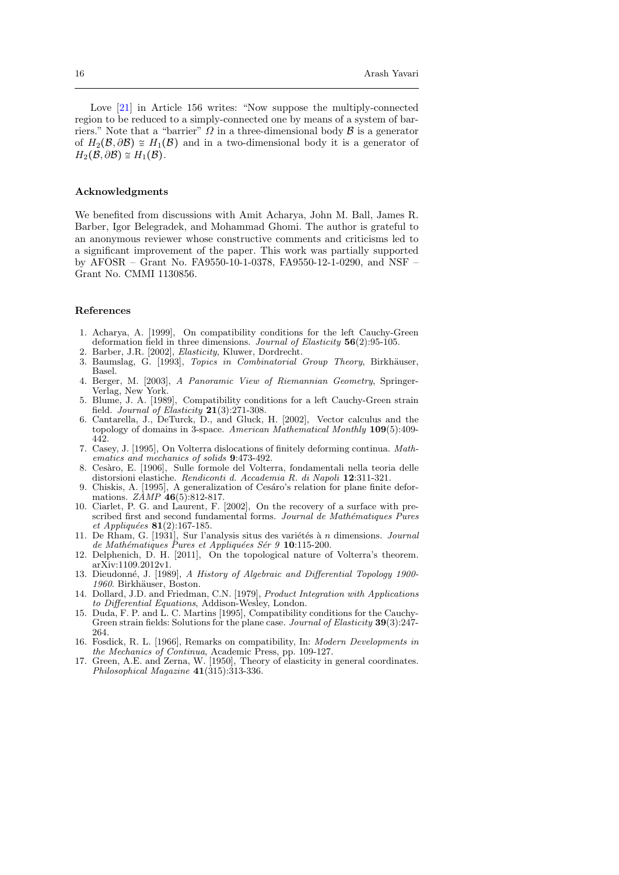Love  $[21]$  in Article 156 writes: "Now suppose the multiply-connected region to be reduced to a simply-connected one by means of a system of barriers." Note that a "barrier"  $\Omega$  in a three-dimensional body  $\beta$  is a generator of  $H_2(\mathcal{B}, \partial \mathcal{B}) \cong H_1(\mathcal{B})$  and in a two-dimensional body it is a generator of  $H_2(\mathcal{B}, \partial \mathcal{B}) \cong H_1(\mathcal{B}).$ 

### Acknowledgments

We benefited from discussions with Amit Acharya, John M. Ball, James R. Barber, Igor Belegradek, and Mohammad Ghomi. The author is grateful to an anonymous reviewer whose constructive comments and criticisms led to a significant improvement of the paper. This work was partially supported by AFOSR – Grant No. FA9550-10-1-0378, FA9550-12-1-0290, and NSF – Grant No. CMMI 1130856.

## References

- <span id="page-15-6"></span>1. Acharya, A. [1999], On compatibility conditions for the left Cauchy-Green deformation field in three dimensions. Journal of Elasticity 56(2):95-105.
- <span id="page-15-13"></span>2. Barber, J.R. [2002], *Elasticity*, Kluwer, Dordrecht.<br>3. Baumslag G. [1993] *Tonics in Combinatorial*
- Baumslag, G. [1993], Topics in Combinatorial Group Theory, Birkhäuser, Basel.
- <span id="page-15-11"></span>4. Berger, M. [2003], A Panoramic View of Riemannian Geometry, Springer-Verlag, New York.
- <span id="page-15-5"></span>5. Blume, J. A. [1989], Compatibility conditions for a left Cauchy-Green strain field. Journal of Elasticity  $21(3):271-308$ .
- <span id="page-15-15"></span>6. Cantarella, J., DeTurck, D., and Gluck, H. [2002], Vector calculus and the topology of domains in 3-space. American Mathematical Monthly 109(5):409- 442.
- <span id="page-15-14"></span>7. Casey, J. [1995], On Volterra dislocations of finitely deforming continua. Mathematics and mechanics of solids 9:473-492.
- <span id="page-15-0"></span>8. Ces`aro, E. [1906], Sulle formole del Volterra, fondamentali nella teoria delle distorsioni elastiche. Rendiconti d. Accademia R. di Napoli 12:311-321.
- <span id="page-15-4"></span>9. Chiskis, A. [1995], A generalization of Cesáro's relation for plane finite deformations.  $ZAMP 46(5):812-817.$
- <span id="page-15-3"></span>10. Ciarlet, P. G. and Laurent, F. [2002], On the recovery of a surface with prescribed first and second fundamental forms. Journal de Mathématiques Pures et Appliquées  $81(2):167-185$ .
- <span id="page-15-9"></span>11. De Rham, G.  $[1931]$ , Sur l'analysis situs des variétés à n dimensions. Journal de Mathématiques Pures et Appliquées Sér 9 10:115-200.
- <span id="page-15-7"></span>12. Delphenich, D. H. [2011], On the topological nature of Volterra's theorem. arXiv:1109.2012v1.
- <span id="page-15-2"></span>13. Dieudonné, J. [1989], A History of Algebraic and Differential Topology 1900-1960. Birkhäuser, Boston.
- <span id="page-15-12"></span>14. Dollard, J.D. and Friedman, C.N. [1979], Product Integration with Applications to Differential Equations, Addison-Wesley, London.
- <span id="page-15-8"></span>15. Duda, F. P. and L. C. Martins [1995], Compatibility conditions for the Cauchy-Green strain fields: Solutions for the plane case. Journal of Elasticity 39(3):247-264.
- <span id="page-15-10"></span>16. Fosdick, R. L. [1966], Remarks on compatibility, In: Modern Developments in the Mechanics of Continua, Academic Press, pp. 109-127.
- <span id="page-15-1"></span>17. Green, A.E. and Zerna, W. [1950], Theory of elasticity in general coordinates. Philosophical Magazine 41(315):313-336.